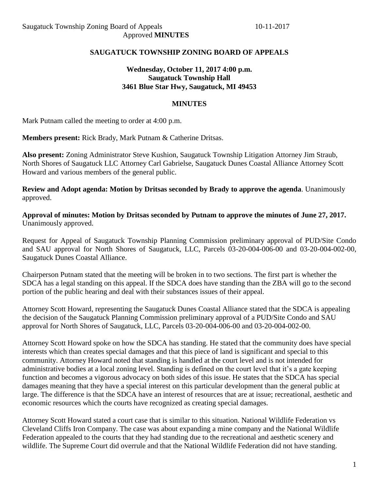## **SAUGATUCK TOWNSHIP ZONING BOARD OF APPEALS**

### **Wednesday, October 11, 2017 4:00 p.m. Saugatuck Township Hall 3461 Blue Star Hwy, Saugatuck, MI 49453**

#### **MINUTES**

Mark Putnam called the meeting to order at 4:00 p.m.

**Members present:** Rick Brady, Mark Putnam & Catherine Dritsas.

**Also present:** Zoning Administrator Steve Kushion, Saugatuck Township Litigation Attorney Jim Straub, North Shores of Saugatuck LLC Attorney Carl Gabrielse, Saugatuck Dunes Coastal Alliance Attorney Scott Howard and various members of the general public.

**Review and Adopt agenda: Motion by Dritsas seconded by Brady to approve the agenda**. Unanimously approved.

**Approval of minutes: Motion by Dritsas seconded by Putnam to approve the minutes of June 27, 2017.** Unanimously approved.

Request for Appeal of Saugatuck Township Planning Commission preliminary approval of PUD/Site Condo and SAU approval for North Shores of Saugatuck, LLC, Parcels 03-20-004-006-00 and 03-20-004-002-00, Saugatuck Dunes Coastal Alliance.

Chairperson Putnam stated that the meeting will be broken in to two sections. The first part is whether the SDCA has a legal standing on this appeal. If the SDCA does have standing than the ZBA will go to the second portion of the public hearing and deal with their substances issues of their appeal.

Attorney Scott Howard, representing the Saugatuck Dunes Coastal Alliance stated that the SDCA is appealing the decision of the Saugatuck Planning Commission preliminary approval of a PUD/Site Condo and SAU approval for North Shores of Saugatuck, LLC, Parcels 03-20-004-006-00 and 03-20-004-002-00.

Attorney Scott Howard spoke on how the SDCA has standing. He stated that the community does have special interests which than creates special damages and that this piece of land is significant and special to this community. Attorney Howard noted that standing is handled at the court level and is not intended for administrative bodies at a local zoning level. Standing is defined on the court level that it's a gate keeping function and becomes a vigorous advocacy on both sides of this issue. He states that the SDCA has special damages meaning that they have a special interest on this particular development than the general public at large. The difference is that the SDCA have an interest of resources that are at issue; recreational, aesthetic and economic resources which the courts have recognized as creating special damages.

Attorney Scott Howard stated a court case that is similar to this situation. National Wildlife Federation vs Cleveland Cliffs Iron Company. The case was about expanding a mine company and the National Wildlife Federation appealed to the courts that they had standing due to the recreational and aesthetic scenery and wildlife. The Supreme Court did overrule and that the National Wildlife Federation did not have standing.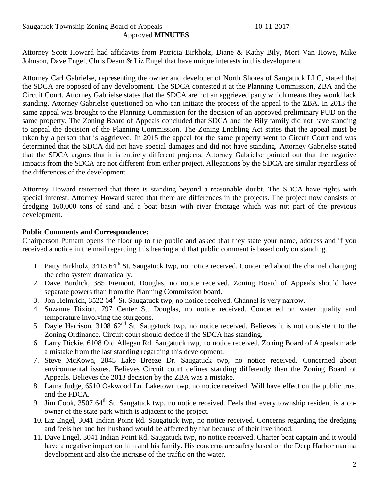## Saugatuck Township Zoning Board of Appeals 10-11-2017 Approved **MINUTES**

Attorney Scott Howard had affidavits from Patricia Birkholz, Diane & Kathy Bily, Mort Van Howe, Mike Johnson, Dave Engel, Chris Deam & Liz Engel that have unique interests in this development.

Attorney Carl Gabrielse, representing the owner and developer of North Shores of Saugatuck LLC, stated that the SDCA are opposed of any development. The SDCA contested it at the Planning Commission, ZBA and the Circuit Court. Attorney Gabrielse states that the SDCA are not an aggrieved party which means they would lack standing. Attorney Gabrielse questioned on who can initiate the process of the appeal to the ZBA. In 2013 the same appeal was brought to the Planning Commission for the decision of an approved preliminary PUD on the same property. The Zoning Board of Appeals concluded that SDCA and the Bily family did not have standing to appeal the decision of the Planning Commission. The Zoning Enabling Act states that the appeal must be taken by a person that is aggrieved. In 2015 the appeal for the same property went to Circuit Court and was determined that the SDCA did not have special damages and did not have standing. Attorney Gabrielse stated that the SDCA argues that it is entirely different projects. Attorney Gabrielse pointed out that the negative impacts from the SDCA are not different from either project. Allegations by the SDCA are similar regardless of the differences of the development.

Attorney Howard reiterated that there is standing beyond a reasonable doubt. The SDCA have rights with special interest. Attorney Howard stated that there are differences in the projects. The project now consists of dredging 160,000 tons of sand and a boat basin with river frontage which was not part of the previous development.

## **Public Comments and Correspondence:**

Chairperson Putnam opens the floor up to the public and asked that they state your name, address and if you received a notice in the mail regarding this hearing and that public comment is based only on standing.

- 1. Patty Birkholz, 3413 64<sup>th</sup> St. Saugatuck twp, no notice received. Concerned about the channel changing the echo system dramatically.
- 2. Dave Burdick, 385 Fremont, Douglas, no notice received. Zoning Board of Appeals should have separate powers than from the Planning Commission board.
- 3. Jon Helmrich,  $3522.64^{\text{th}}$  St. Saugatuck twp, no notice received. Channel is very narrow.
- 4. Suzanne Dixion, 797 Center St. Douglas, no notice received. Concerned on water quality and temperature involving the sturgeons.
- 5. Dayle Harrison, 3108  $62<sup>nd</sup>$  St. Saugatuck twp, no notice received. Believes it is not consistent to the Zoning Ordinance. Circuit court should decide if the SDCA has standing.
- 6. Larry Dickie, 6108 Old Allegan Rd. Saugatuck twp, no notice received. Zoning Board of Appeals made a mistake from the last standing regarding this development.
- 7. Steve McKown, 2845 Lake Breeze Dr. Saugatuck twp, no notice received. Concerned about environmental issues. Believes Circuit court defines standing differently than the Zoning Board of Appeals. Believes the 2013 decision by the ZBA was a mistake.
- 8. Laura Judge, 6510 Oakwood Ln. Laketown twp, no notice received. Will have effect on the public trust and the FDCA.
- 9. Jim Cook, 3507 64<sup>th</sup> St. Saugatuck twp, no notice received. Feels that every township resident is a coowner of the state park which is adjacent to the project.
- 10. Liz Engel, 3041 Indian Point Rd. Saugatuck twp, no notice received. Concerns regarding the dredging and feels her and her husband would be affected by that because of their livelihood.
- 11. Dave Engel, 3041 Indian Point Rd. Saugatuck twp, no notice received. Charter boat captain and it would have a negative impact on him and his family. His concerns are safety based on the Deep Harbor marina development and also the increase of the traffic on the water.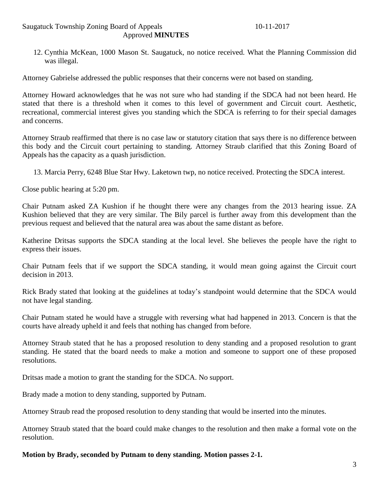#### Saugatuck Township Zoning Board of Appeals 10-11-2017 Approved **MINUTES**

12. Cynthia McKean, 1000 Mason St. Saugatuck, no notice received. What the Planning Commission did was illegal.

Attorney Gabrielse addressed the public responses that their concerns were not based on standing.

Attorney Howard acknowledges that he was not sure who had standing if the SDCA had not been heard. He stated that there is a threshold when it comes to this level of government and Circuit court. Aesthetic, recreational, commercial interest gives you standing which the SDCA is referring to for their special damages and concerns.

Attorney Straub reaffirmed that there is no case law or statutory citation that says there is no difference between this body and the Circuit court pertaining to standing. Attorney Straub clarified that this Zoning Board of Appeals has the capacity as a quash jurisdiction.

13. Marcia Perry, 6248 Blue Star Hwy. Laketown twp, no notice received. Protecting the SDCA interest.

Close public hearing at 5:20 pm.

Chair Putnam asked ZA Kushion if he thought there were any changes from the 2013 hearing issue. ZA Kushion believed that they are very similar. The Bily parcel is further away from this development than the previous request and believed that the natural area was about the same distant as before.

Katherine Dritsas supports the SDCA standing at the local level. She believes the people have the right to express their issues.

Chair Putnam feels that if we support the SDCA standing, it would mean going against the Circuit court decision in 2013.

Rick Brady stated that looking at the guidelines at today's standpoint would determine that the SDCA would not have legal standing.

Chair Putnam stated he would have a struggle with reversing what had happened in 2013. Concern is that the courts have already upheld it and feels that nothing has changed from before.

Attorney Straub stated that he has a proposed resolution to deny standing and a proposed resolution to grant standing. He stated that the board needs to make a motion and someone to support one of these proposed resolutions.

Dritsas made a motion to grant the standing for the SDCA. No support.

Brady made a motion to deny standing, supported by Putnam.

Attorney Straub read the proposed resolution to deny standing that would be inserted into the minutes.

Attorney Straub stated that the board could make changes to the resolution and then make a formal vote on the resolution.

#### **Motion by Brady, seconded by Putnam to deny standing. Motion passes 2-1.**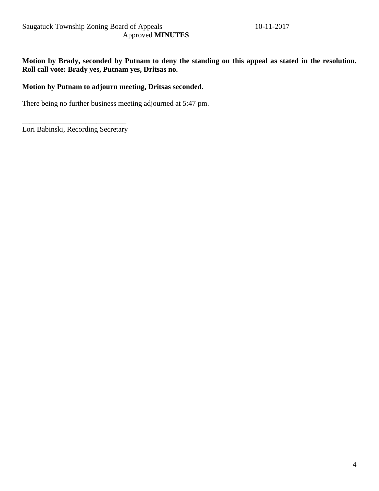**Motion by Brady, seconded by Putnam to deny the standing on this appeal as stated in the resolution. Roll call vote: Brady yes, Putnam yes, Dritsas no.**

## **Motion by Putnam to adjourn meeting, Dritsas seconded.**

There being no further business meeting adjourned at 5:47 pm.

\_\_\_\_\_\_\_\_\_\_\_\_\_\_\_\_\_\_\_\_\_\_\_\_\_\_\_\_ Lori Babinski, Recording Secretary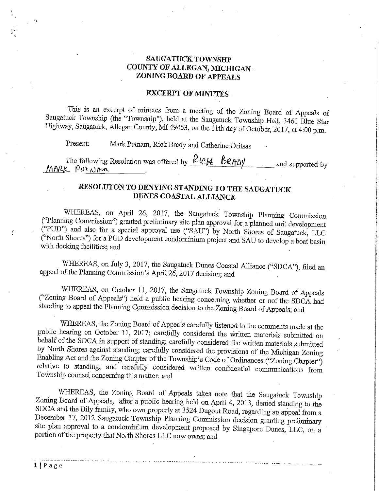#### **SAUGATUCK TOWNSHP** COUNTY OF ALLEGAN, MICHIGAN . ZONING BOARD OF APPEALS

#### **EXCERPT OF MINUTES**

This is an excerpt of minutes from a meeting of the Zoning Board of Appeals of Saugatuck Township (the "Township"), held at the Saugatuck Township Hall, 3461 Blue Star Highway, Saugatuck, Allegan County, MI 49453, on the 11th day of October, 2017, at 4:00 p.m.

Mark Putnam, Rick Brady and Catherine Dritsas Present:

The following Resolution was offered by  $R$  ( $C_{\mathcal{K}}$   $\mathcal{B}_{RAD}$ y and supported by MARK PUTNAM

# RESOLUTON TO DENYING STANDING TO THE SAUGATUCK DUNES COASTAL ALLIANCE

WHEREAS, on April 26, 2017, the Saugatuck Township Planning Commission ("Planning Commission") granted preliminary site plan approval for a planned unit development ("PUD") and also for a special approval use ("SAU") by North Shores of Saugatuck, LLC ("North Shores") for a PUD development condominium project and SAU to develop a boat basin with docking facilities; and

WHEREAS, on July 3, 2017, the Saugatuck Dunes Coastal Alliance ("SDCA"), filed an appeal of the Planning Commission's April 26, 2017 decision; and

WHEREAS, on October 11, 2017, the Saugatuck Township Zoning Board of Appeals ("Zoning Board of Appeals") held a public hearing concerning whether or not the SDCA had standing to appeal the Planning Commission decision to the Zoning Board of Appeals; and

WHEREAS, the Zoning Board of Appeals carefully listened to the comments made at the public hearing on October 11, 2017; carefully considered the written materials submitted on behalf of the SDCA in support of standing; carefully considered the written materials submitted by North Shores against standing; carefully considered the provisions of the Michigan Zoning Enabling Act and the Zoning Chapter of the Township's Code of Ordinances ("Zoning Chapter") relative to standing; and carefully considered written confidential communications from Township counsel concerning this matter; and

WHEREAS, the Zoning Board of Appeals takes note that the Saugatuck Township Zoning Board of Appeals, after a public hearing held on April 4, 2013, denied standing to the SDCA and the Bily family, who own property at 3524 Dugout Road, regarding an appeal from a December 17, 2012 Saugatuck Township Planning Commission decision granting preliminary site plan approval to a condominium development proposed by Singapore Dunes, LLC, on a portion of the property that North Shores LLC now owns; and

 $\mathbf{r}_0$ 

f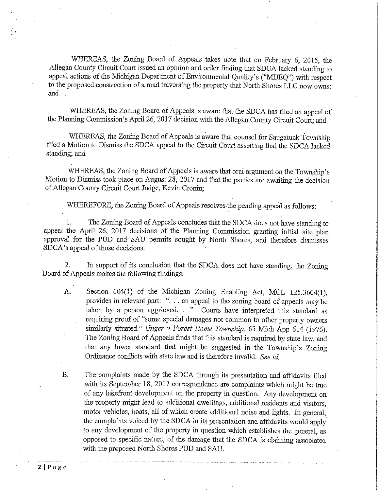WHEREAS, the Zoning Board of Appeals takes note that on February 6, 2015, the Allegan County Circuit Court issued an opinion and order finding that SDCA lacked standing to appeal actions of the Michigan Department of Environmental Quality's ("MDEQ") with respect to the proposed construction of a road traversing the property that North Shores LLC now owns; and

WHEREAS, the Zoning Board of Appeals is aware that the SDCA has filed an appeal of the Planning Commission's April 26, 2017 decision with the Allegan County Circuit Court; and

WHEREAS, the Zoning Board of Appeals is aware that counsel for Saugatuck Township filed a Motion to Dismiss the SDCA appeal to the Circuit Court asserting that the SDCA lacked standing; and

WHEREAS, the Zoning Board of Appeals is aware that oral argument on the Township's Motion to Dismiss took place on August 28, 2017 and that the parties are awaiting the decision of Allegan County Circuit Court Judge, Kevin Cronin;

WHEREFORE, the Zoning Board of Appeals resolves the pending appeal as follows:

The Zoning Board of Appeals concludes that the SDCA does not have standing to 1. appeal the April 26, 2017 decisions of the Planning Commission granting initial site plan approval for the PUD and SAU permits sought by North Shores, and therefore dismisses SDCA's appeal of those decisions.

In support of its conclusion that the SDCA does not have standing, the Zoning 2. Board of Appeals makes the following findings:

- $A.$ Section 604(1) of the Michigan Zoning Enabling Act, MCL 125.3604(1), provides in relevant part: "... an appeal to the zoning board of appeals may be taken by a person aggrieved. . ." Courts have interpreted this standard as requiring proof of "some special damages not common to other property owners similarly situated." Unger v Forest Home Township, 65 Mich App 614 (1976). The Zoning Board of Appeals finds that this standard is required by state law, and that any lower standard that might be suggested in the Township's Zoning Ordinance conflicts with state law and is therefore invalid. See id.
- The complaints made by the SDCA through its presentation and affidavits filed **B.** with its September 18, 2017 correspondence are complaints which might be true of any lakefront development on the property in question. Any development on the property might lead to additional dwellings, additional residents and visitors, motor vehicles, boats, all of which create additional noise and lights. In general, the complaints voiced by the SDCA in its presentation and affidavits would apply to any development of the property in question which establishes the general, as opposed to specific nature, of the damage that the SDCA is claiming associated with the proposed North Shores PUD and SAU.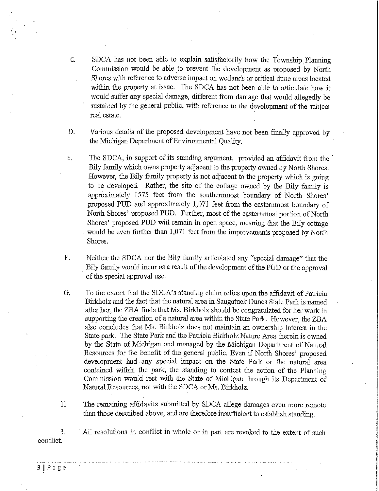- $\mathsf{C}$ . SDCA has not been able to explain satisfactorily how the Township Planning Commission would be able to prevent the development as proposed by North Shores with reference to adverse impact on wetlands or critical dune areas located within the property at issue. The SDCA has not been able to articulate how it would suffer any special damage, different from damage that would allegedly be sustained by the general public, with reference to the development of the subject real estate.
- D. Various details of the proposed development have not been finally approved by the Michigan Department of Environmental Quality.
- The SDCA, in support of its standing argument, provided an affidavit from the Ε. Bily family which owns property adjacent to the property owned by North Shores. However, the Bily family property is not adjacent to the property which is going to be developed. Rather, the site of the cottage owned by the Bily family is approximately 1575 feet from the southernmost boundary of North Shores' proposed PUD and approximately 1,071 feet from the easternmost boundary of North Shores' proposed PUD. Further, most of the easternmost portion of North Shores' proposed PUD will remain in open space, meaning that the Bily cottage would be even further than 1,071 feet from the improvements proposed by North Shores.
- Neither the SDCA nor the Bily family articulated any "special damage" that the  $F.$ Bily family would incur as a result of the development of the PUD or the approval of the special approval use.
- To the extent that the SDCA's standing claim relies upon the affidavit of Patricia G. Birkholz and the fact that the natural area in Saugatuck Dunes State Park is named after her, the ZBA finds that Ms. Birkholz should be congratulated for her work in supporting the creation of a natural area within the State Park. However, the ZBA also concludes that Ms. Birkholz does not maintain an ownership interest in the State park. The State Park and the Patricia Birkholz Nature Area therein is owned by the State of Michigan and managed by the Michigan Department of Natural Resources for the benefit of the general public. Even if North Shores' proposed development had any special impact on the State Park or the natural area contained within the park, the standing to contest the action of the Planning Commission would rest with the State of Michigan through its Department of Natural Resources, not with the SDCA or Ms. Birkholz.
- The remaining affidavits submitted by SDCA allege damages even more remote Η. than those described above, and are therefore insufficient to establish standing.

3. All resolutions in conflict in whole or in part are revoked to the extent of such conflict.

 $3 | P \n 1 | P$